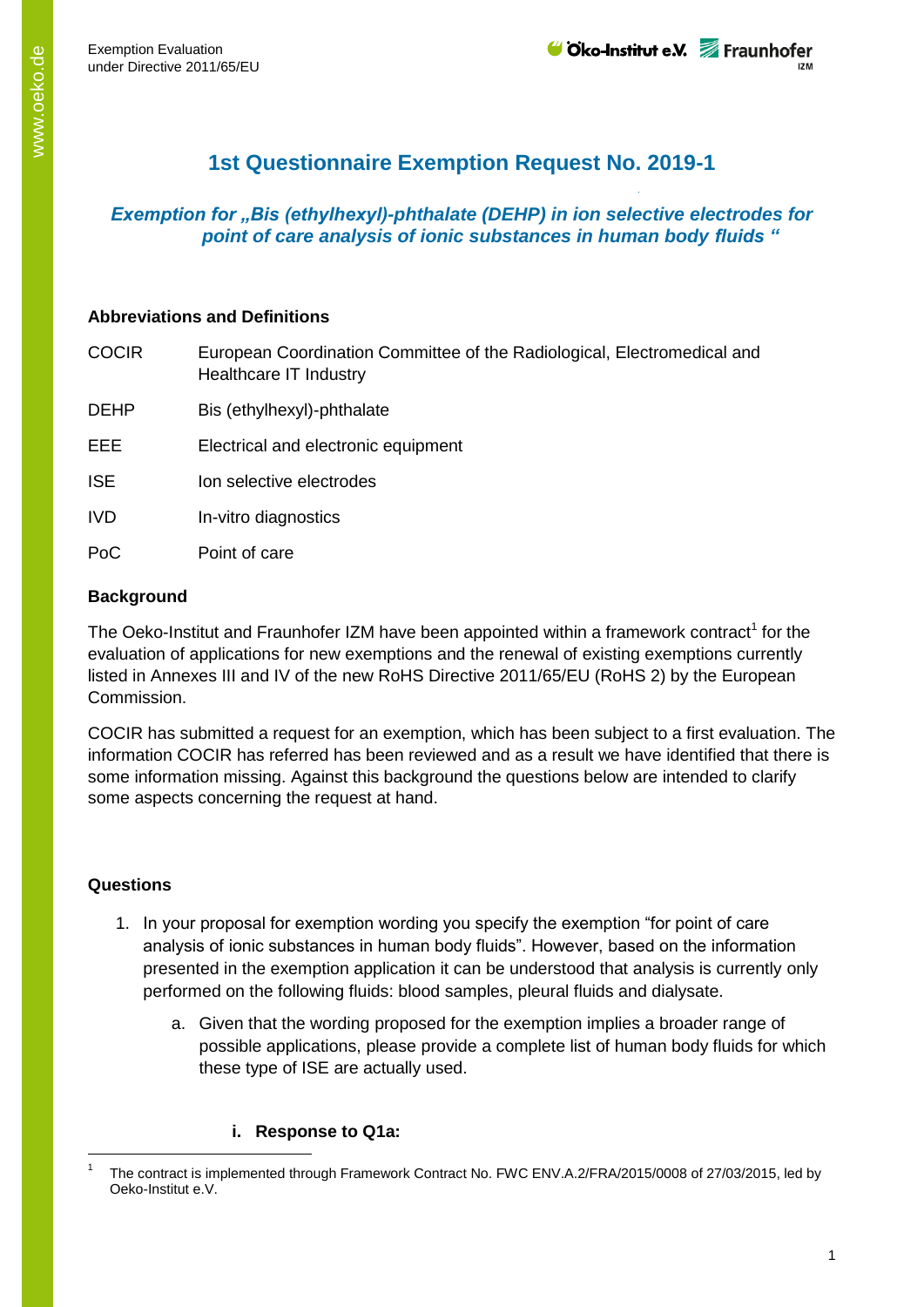# **1st Questionnaire Exemption Request No. 2019-1**

## *Exemption for "Bis (ethylhexyl)-phthalate (DEHP) in ion selective electrodes for point of care analysis of ionic substances in human body fluids "*

# **Abbreviations and Definitions**

COCIR European Coordination Committee of the Radiological, Electromedical and Healthcare IT Industry DEHP Bis (ethylhexyl)-phthalate EEE Electrical and electronic equipment ISE **Ion selective electrodes** IVD In-vitro diagnostics PoC Point of care

## **Background**

The Oeko-Institut and Fraunhofer IZM have been appointed within a framework contract<sup>1</sup> for the evaluation of applications for new exemptions and the renewal of existing exemptions currently listed in Annexes III and IV of the new RoHS Directive 2011/65/EU (RoHS 2) by the European Commission.

COCIR has submitted a request for an exemption, which has been subject to a first evaluation. The information COCIR has referred has been reviewed and as a result we have identified that there is some information missing. Against this background the questions below are intended to clarify some aspects concerning the request at hand.

## **Questions**

-

- 1. In your proposal for exemption wording you specify the exemption "for point of care analysis of ionic substances in human body fluids". However, based on the information presented in the exemption application it can be understood that analysis is currently only performed on the following fluids: blood samples, pleural fluids and dialysate.
	- a. Given that the wording proposed for the exemption implies a broader range of possible applications, please provide a complete list of human body fluids for which these type of ISE are actually used.

## **i. Response to Q1a:**

<sup>1</sup> The contract is implemented through Framework Contract No. FWC ENV.A.2/FRA/2015/0008 of 27/03/2015, led by Oeko-Institut e.V.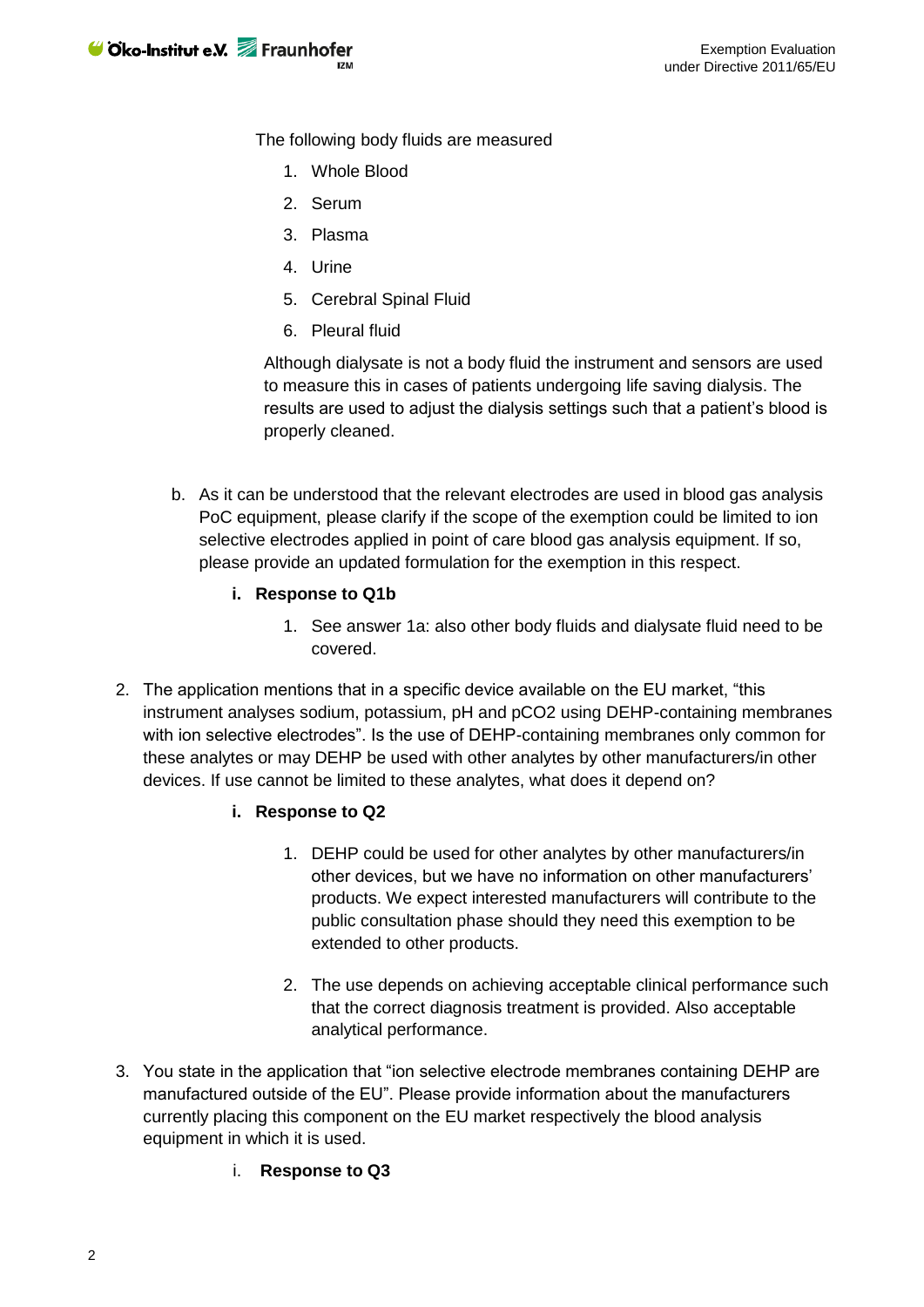The following body fluids are measured

- 1. Whole Blood
- 2. Serum
- 3. Plasma
- 4. Urine
- 5. Cerebral Spinal Fluid
- 6. Pleural fluid

Although dialysate is not a body fluid the instrument and sensors are used to measure this in cases of patients undergoing life saving dialysis. The results are used to adjust the dialysis settings such that a patient's blood is properly cleaned.

- b. As it can be understood that the relevant electrodes are used in blood gas analysis PoC equipment, please clarify if the scope of the exemption could be limited to ion selective electrodes applied in point of care blood gas analysis equipment. If so, please provide an updated formulation for the exemption in this respect.
	- **i. Response to Q1b**
		- 1. See answer 1a: also other body fluids and dialysate fluid need to be covered.
- 2. The application mentions that in a specific device available on the EU market, "this instrument analyses sodium, potassium, pH and pCO2 using DEHP-containing membranes with ion selective electrodes". Is the use of DEHP-containing membranes only common for these analytes or may DEHP be used with other analytes by other manufacturers/in other devices. If use cannot be limited to these analytes, what does it depend on?
	- **i. Response to Q2**
		- 1. DEHP could be used for other analytes by other manufacturers/in other devices, but we have no information on other manufacturers' products. We expect interested manufacturers will contribute to the public consultation phase should they need this exemption to be extended to other products.
		- 2. The use depends on achieving acceptable clinical performance such that the correct diagnosis treatment is provided. Also acceptable analytical performance.
- 3. You state in the application that "ion selective electrode membranes containing DEHP are manufactured outside of the EU". Please provide information about the manufacturers currently placing this component on the EU market respectively the blood analysis equipment in which it is used.
	- i. **Response to Q3**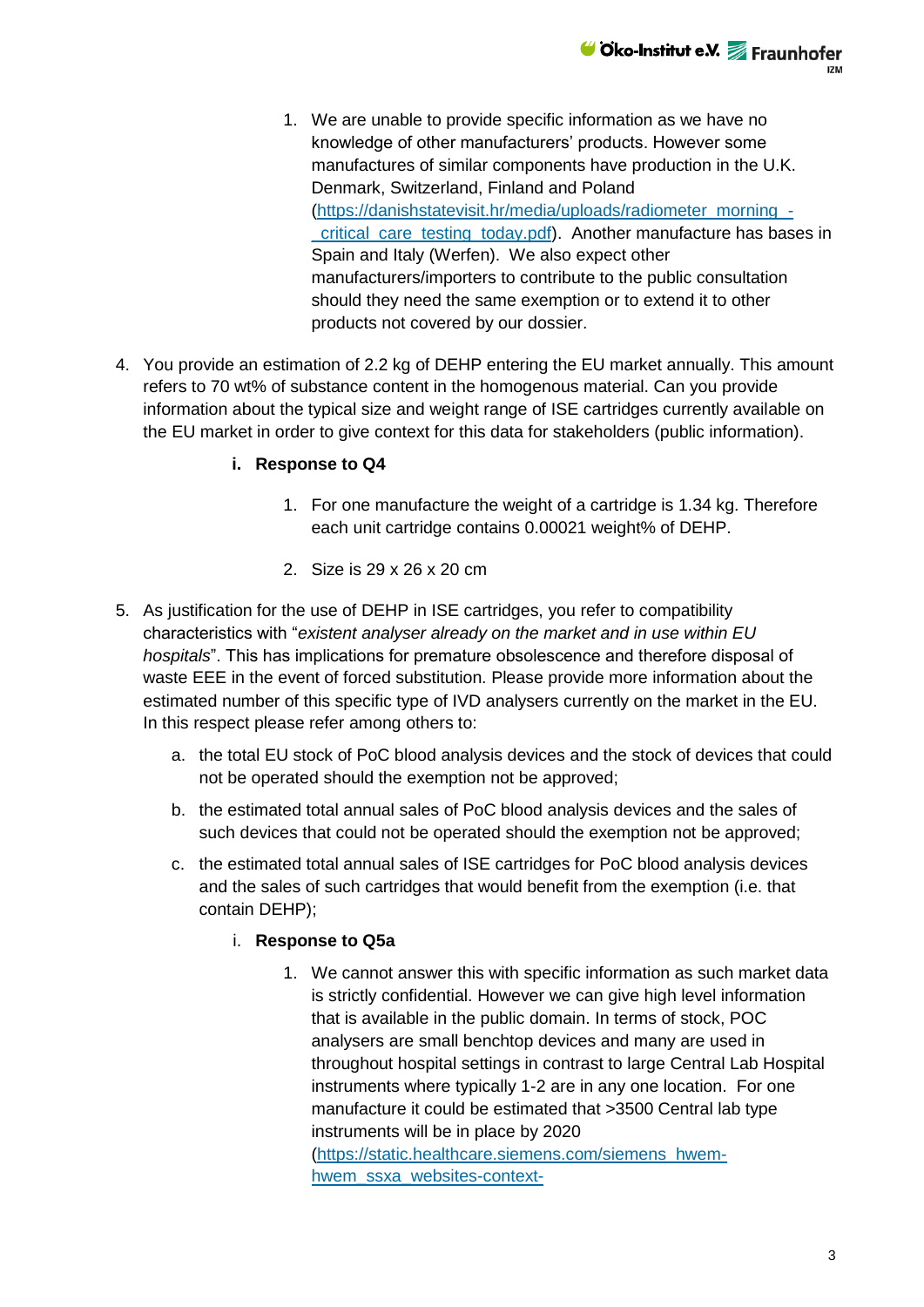

- 1. We are unable to provide specific information as we have no knowledge of other manufacturers' products. However some manufactures of similar components have production in the U.K. Denmark, Switzerland, Finland and Poland [\(https://danishstatevisit.hr/media/uploads/radiometer\\_morning\\_](https://danishstatevisit.hr/media/uploads/radiometer_morning_-_critical_care_testing_today.pdf) critical care testing today.pdf). Another manufacture has bases in Spain and Italy (Werfen). We also expect other manufacturers/importers to contribute to the public consultation should they need the same exemption or to extend it to other products not covered by our dossier.
- 4. You provide an estimation of 2.2 kg of DEHP entering the EU market annually. This amount refers to 70 wt% of substance content in the homogenous material. Can you provide information about the typical size and weight range of ISE cartridges currently available on the EU market in order to give context for this data for stakeholders (public information).

#### **i. Response to Q4**

- 1. For one manufacture the weight of a cartridge is 1.34 kg. Therefore each unit cartridge contains 0.00021 weight% of DEHP.
- 2. Size is 29 x 26 x 20 cm
- 5. As justification for the use of DEHP in ISE cartridges, you refer to compatibility characteristics with "*existent analyser already on the market and in use within EU hospitals*". This has implications for premature obsolescence and therefore disposal of waste EEE in the event of forced substitution. Please provide more information about the estimated number of this specific type of IVD analysers currently on the market in the EU. In this respect please refer among others to:
	- a. the total EU stock of PoC blood analysis devices and the stock of devices that could not be operated should the exemption not be approved;
	- b. the estimated total annual sales of PoC blood analysis devices and the sales of such devices that could not be operated should the exemption not be approved;
	- c. the estimated total annual sales of ISE cartridges for PoC blood analysis devices and the sales of such cartridges that would benefit from the exemption (i.e. that contain DEHP);

#### i. **Response to Q5a**

1. We cannot answer this with specific information as such market data is strictly confidential. However we can give high level information that is available in the public domain. In terms of stock, POC analysers are small benchtop devices and many are used in throughout hospital settings in contrast to large Central Lab Hospital instruments where typically 1-2 are in any one location. For one manufacture it could be estimated that >3500 Central lab type instruments will be in place by 2020 [\(https://static.healthcare.siemens.com/siemens\\_hwem](https://static.healthcare.siemens.com/siemens_hwem-hwem_ssxa_websites-context-root/wcm/idc/groups/public/@global/@press/documents/download/mda4/nzaz/~edisp/q4_fy-2018_press_presentation_en-05851799.pdf)[hwem\\_ssxa\\_websites-context-](https://static.healthcare.siemens.com/siemens_hwem-hwem_ssxa_websites-context-root/wcm/idc/groups/public/@global/@press/documents/download/mda4/nzaz/~edisp/q4_fy-2018_press_presentation_en-05851799.pdf)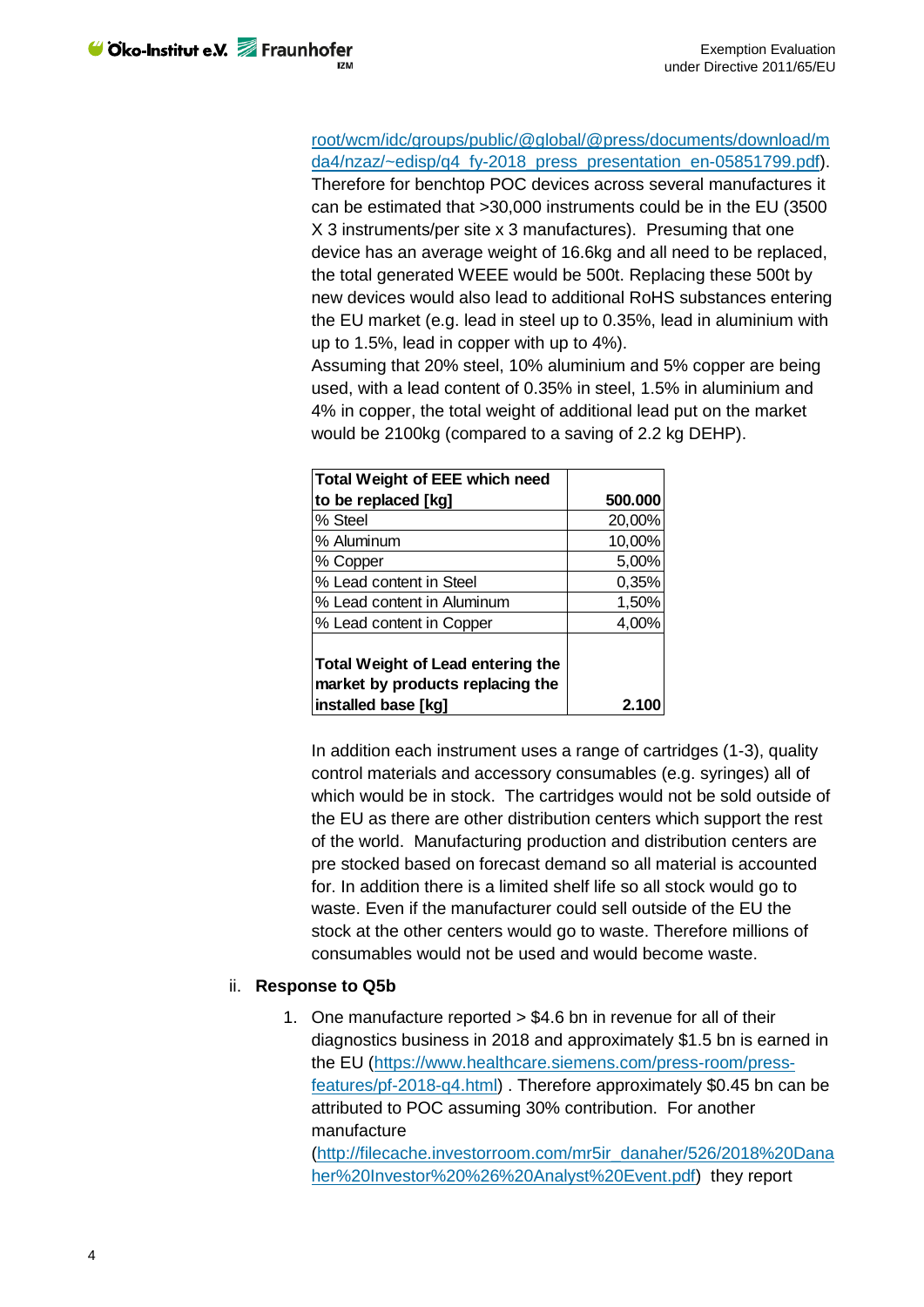[root/wcm/idc/groups/public/@global/@press/documents/download/m](https://static.healthcare.siemens.com/siemens_hwem-hwem_ssxa_websites-context-root/wcm/idc/groups/public/@global/@press/documents/download/mda4/nzaz/~edisp/q4_fy-2018_press_presentation_en-05851799.pdf) da4/nzaz/~edisp/q4 fy-2018 press presentation en-05851799.pdf).

Therefore for benchtop POC devices across several manufactures it can be estimated that >30,000 instruments could be in the EU (3500 X 3 instruments/per site x 3 manufactures). Presuming that one device has an average weight of 16.6kg and all need to be replaced, the total generated WEEE would be 500t. Replacing these 500t by new devices would also lead to additional RoHS substances entering the EU market (e.g. lead in steel up to 0.35%, lead in aluminium with up to 1.5%, lead in copper with up to 4%).

Assuming that 20% steel, 10% aluminium and 5% copper are being used, with a lead content of 0.35% in steel, 1.5% in aluminium and 4% in copper, the total weight of additional lead put on the market would be 2100kg (compared to a saving of 2.2 kg DEHP).

| <b>Total Weight of EEE which need</b>                                        |         |
|------------------------------------------------------------------------------|---------|
| to be replaced [kg]                                                          | 500.000 |
| % Steel                                                                      | 20,00%  |
| % Aluminum                                                                   | 10,00%  |
| % Copper                                                                     | 5,00%   |
| % Lead content in Steel                                                      | 0,35%   |
| % Lead content in Aluminum                                                   | 1,50%   |
| % Lead content in Copper                                                     | 4,00%   |
| <b>Total Weight of Lead entering the</b><br>market by products replacing the |         |
| installed base [kg]                                                          | 2.1     |

In addition each instrument uses a range of cartridges (1-3), quality control materials and accessory consumables (e.g. syringes) all of which would be in stock. The cartridges would not be sold outside of the EU as there are other distribution centers which support the rest of the world. Manufacturing production and distribution centers are pre stocked based on forecast demand so all material is accounted for. In addition there is a limited shelf life so all stock would go to waste. Even if the manufacturer could sell outside of the EU the stock at the other centers would go to waste. Therefore millions of consumables would not be used and would become waste.

#### ii. **Response to Q5b**

1. One manufacture reported > \$4.6 bn in revenue for all of their diagnostics business in 2018 and approximately \$1.5 bn is earned in the EU [\(https://www.healthcare.siemens.com/press-room/press](https://www.healthcare.siemens.com/press-room/press-features/pf-2018-q4.html)[features/pf-2018-q4.html\)](https://www.healthcare.siemens.com/press-room/press-features/pf-2018-q4.html) . Therefore approximately \$0.45 bn can be attributed to POC assuming 30% contribution. For another manufacture

[\(http://filecache.investorroom.com/mr5ir\\_danaher/526/2018%20Dana](http://filecache.investorroom.com/mr5ir_danaher/526/2018%20Danaher%20Investor%20%26%20Analyst%20Event.pdf) [her%20Investor%20%26%20Analyst%20Event.pdf\)](http://filecache.investorroom.com/mr5ir_danaher/526/2018%20Danaher%20Investor%20%26%20Analyst%20Event.pdf) they report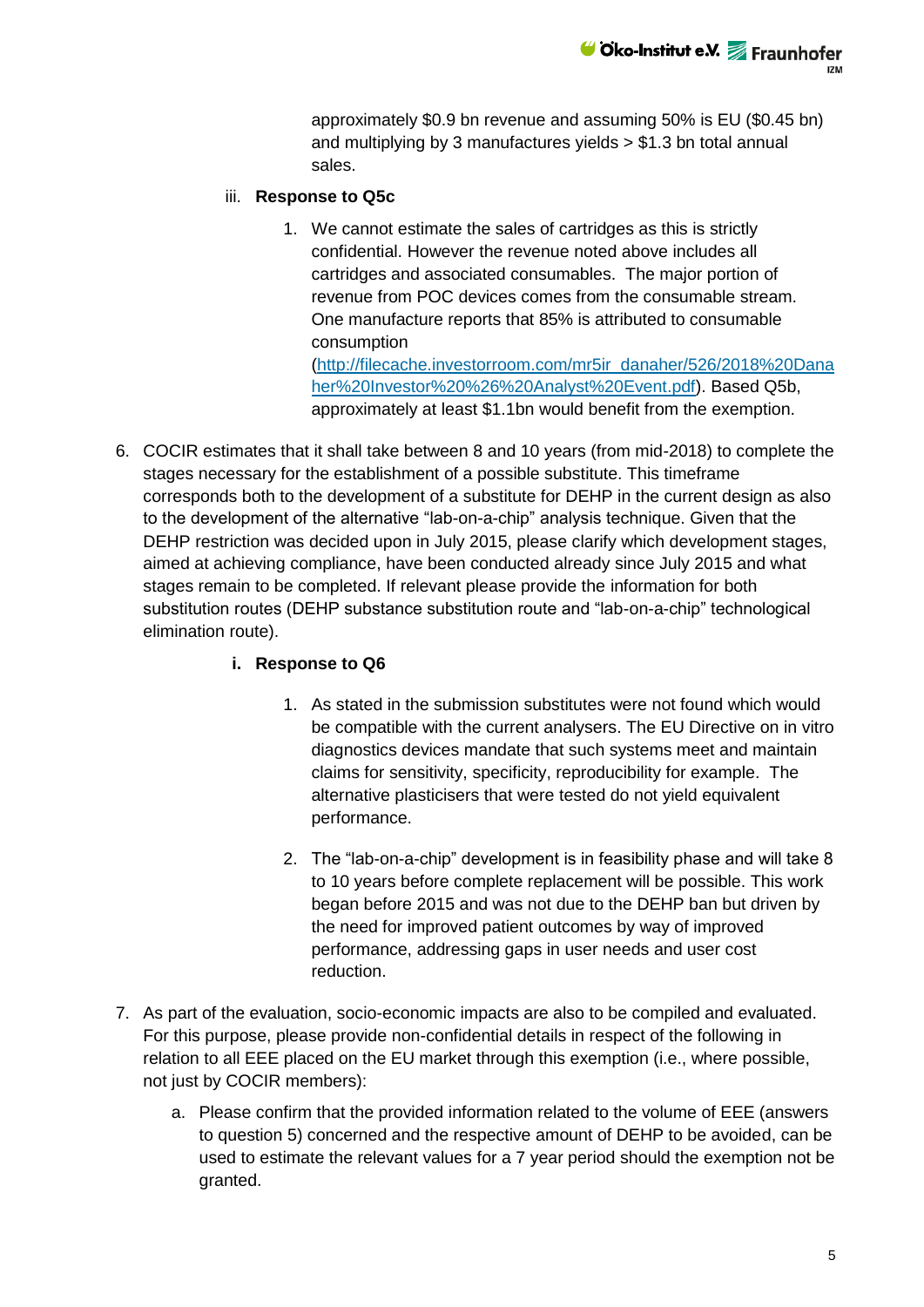**⊎Öko-Institut e.V.** Fraunhofer

approximately \$0.9 bn revenue and assuming 50% is EU (\$0.45 bn) and multiplying by 3 manufactures yields > \$1.3 bn total annual sales.

#### iii. **Response to Q5c**

1. We cannot estimate the sales of cartridges as this is strictly confidential. However the revenue noted above includes all cartridges and associated consumables. The major portion of revenue from POC devices comes from the consumable stream. One manufacture reports that 85% is attributed to consumable consumption [\(http://filecache.investorroom.com/mr5ir\\_danaher/526/2018%20Dana](http://filecache.investorroom.com/mr5ir_danaher/526/2018%20Danaher%20Investor%20%26%20Analyst%20Event.pdf)

[her%20Investor%20%26%20Analyst%20Event.pdf\)](http://filecache.investorroom.com/mr5ir_danaher/526/2018%20Danaher%20Investor%20%26%20Analyst%20Event.pdf). Based Q5b, approximately at least \$1.1bn would benefit from the exemption.

6. COCIR estimates that it shall take between 8 and 10 years (from mid-2018) to complete the stages necessary for the establishment of a possible substitute. This timeframe corresponds both to the development of a substitute for DEHP in the current design as also to the development of the alternative "lab-on-a-chip" analysis technique. Given that the DEHP restriction was decided upon in July 2015, please clarify which development stages, aimed at achieving compliance, have been conducted already since July 2015 and what stages remain to be completed. If relevant please provide the information for both substitution routes (DEHP substance substitution route and "lab-on-a-chip" technological elimination route).

## **i. Response to Q6**

- 1. As stated in the submission substitutes were not found which would be compatible with the current analysers. The EU Directive on in vitro diagnostics devices mandate that such systems meet and maintain claims for sensitivity, specificity, reproducibility for example. The alternative plasticisers that were tested do not yield equivalent performance.
- 2. The "lab-on-a-chip" development is in feasibility phase and will take 8 to 10 years before complete replacement will be possible. This work began before 2015 and was not due to the DEHP ban but driven by the need for improved patient outcomes by way of improved performance, addressing gaps in user needs and user cost reduction.
- 7. As part of the evaluation, socio-economic impacts are also to be compiled and evaluated. For this purpose, please provide non-confidential details in respect of the following in relation to all EEE placed on the EU market through this exemption (i.e., where possible, not just by COCIR members):
	- a. Please confirm that the provided information related to the volume of EEE (answers to question 5) concerned and the respective amount of DEHP to be avoided, can be used to estimate the relevant values for a 7 year period should the exemption not be granted.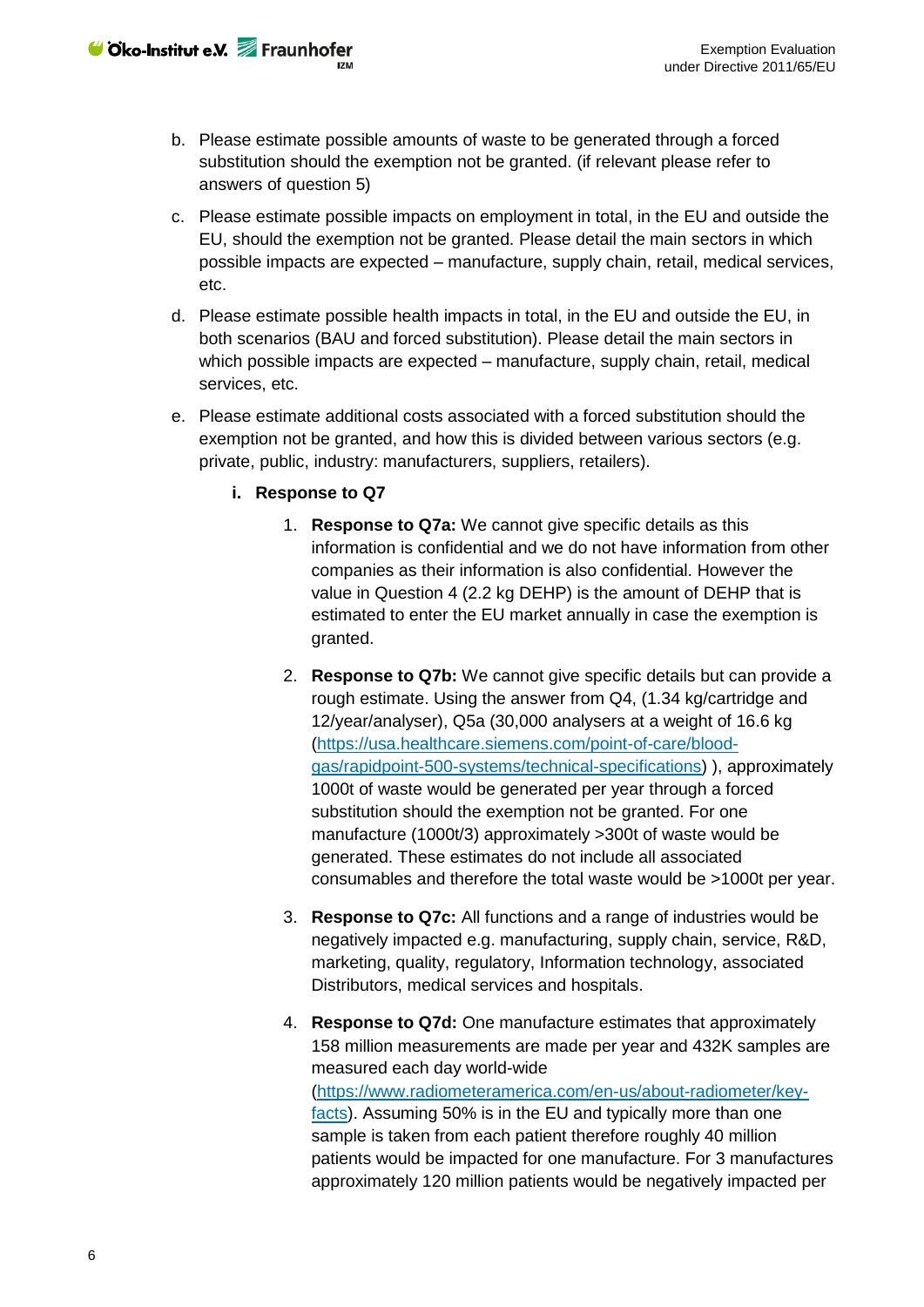- b. Please estimate possible amounts of waste to be generated through a forced substitution should the exemption not be granted. (if relevant please refer to answers of question 5)
- c. Please estimate possible impacts on employment in total, in the EU and outside the EU, should the exemption not be granted. Please detail the main sectors in which possible impacts are expected – manufacture, supply chain, retail, medical services, etc.
- d. Please estimate possible health impacts in total, in the EU and outside the EU, in both scenarios (BAU and forced substitution). Please detail the main sectors in which possible impacts are expected – manufacture, supply chain, retail, medical services, etc.
- e. Please estimate additional costs associated with a forced substitution should the exemption not be granted, and how this is divided between various sectors (e.g. private, public, industry: manufacturers, suppliers, retailers).
	- **i. Response to Q7**
		- 1. **Response to Q7a:** We cannot give specific details as this information is confidential and we do not have information from other companies as their information is also confidential. However the value in Question 4 (2.2 kg DEHP) is the amount of DEHP that is estimated to enter the EU market annually in case the exemption is granted.
		- 2. **Response to Q7b:** We cannot give specific details but can provide a rough estimate. Using the answer from Q4, (1.34 kg/cartridge and 12/year/analyser), Q5a (30,000 analysers at a weight of 16.6 kg [\(https://usa.healthcare.siemens.com/point-of-care/blood](https://usa.healthcare.siemens.com/point-of-care/blood-gas/rapidpoint-500-systems/technical-specifications)[gas/rapidpoint-500-systems/technical-specifications\)](https://usa.healthcare.siemens.com/point-of-care/blood-gas/rapidpoint-500-systems/technical-specifications) ), approximately 1000t of waste would be generated per year through a forced substitution should the exemption not be granted. For one manufacture (1000t/3) approximately >300t of waste would be generated. These estimates do not include all associated consumables and therefore the total waste would be >1000t per year.
		- 3. **Response to Q7c:** All functions and a range of industries would be negatively impacted e.g. manufacturing, supply chain, service, R&D, marketing, quality, regulatory, Information technology, associated Distributors, medical services and hospitals.
		- 4. **Response to Q7d:** One manufacture estimates that approximately 158 million measurements are made per year and 432K samples are measured each day world-wide [\(https://www.radiometeramerica.com/en-us/about-radiometer/key](https://www.radiometeramerica.com/en-us/about-radiometer/key-facts)[facts\)](https://www.radiometeramerica.com/en-us/about-radiometer/key-facts). Assuming 50% is in the EU and typically more than one sample is taken from each patient therefore roughly 40 million patients would be impacted for one manufacture. For 3 manufactures approximately 120 million patients would be negatively impacted per